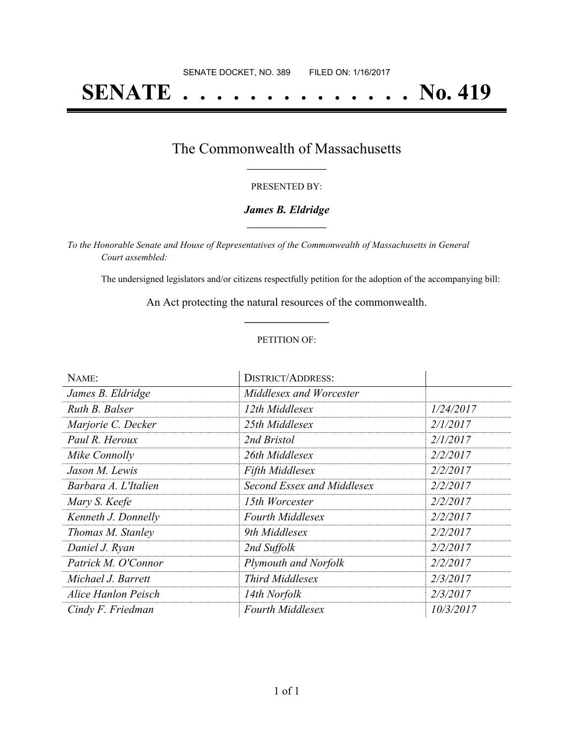# **SENATE . . . . . . . . . . . . . . No. 419**

### The Commonwealth of Massachusetts **\_\_\_\_\_\_\_\_\_\_\_\_\_\_\_\_\_**

#### PRESENTED BY:

#### *James B. Eldridge* **\_\_\_\_\_\_\_\_\_\_\_\_\_\_\_\_\_**

*To the Honorable Senate and House of Representatives of the Commonwealth of Massachusetts in General Court assembled:*

The undersigned legislators and/or citizens respectfully petition for the adoption of the accompanying bill:

An Act protecting the natural resources of the commonwealth. **\_\_\_\_\_\_\_\_\_\_\_\_\_\_\_**

#### PETITION OF:

| NAME:                | <b>DISTRICT/ADDRESS:</b>   |           |
|----------------------|----------------------------|-----------|
| James B. Eldridge    | Middlesex and Worcester    |           |
| Ruth B. Balser       | 12th Middlesex             | 1/24/2017 |
| Marjorie C. Decker   | 25th Middlesex             | 2/1/2017  |
| Paul R. Heroux       | 2nd Bristol                | 2/1/2017  |
| Mike Connolly        | 26th Middlesex             | 2/2/2017  |
| Jason M. Lewis       | <b>Fifth Middlesex</b>     | 2/2/2017  |
| Barbara A. L'Italien | Second Essex and Middlesex | 2/2/2017  |
| Mary S. Keefe        | 15th Worcester             | 2/2/2017  |
| Kenneth J. Donnelly  | <b>Fourth Middlesex</b>    | 2/2/2017  |
| Thomas M. Stanley    | 9th Middlesex              | 2/2/2017  |
| Daniel J. Ryan       | 2nd Suffolk                | 2/2/2017  |
| Patrick M. O'Connor  | Plymouth and Norfolk       | 2/2/2017  |
| Michael J. Barrett   | <b>Third Middlesex</b>     | 2/3/2017  |
| Alice Hanlon Peisch  | 14th Norfolk               | 2/3/2017  |
| Cindy F. Friedman    | <b>Fourth Middlesex</b>    | 10/3/2017 |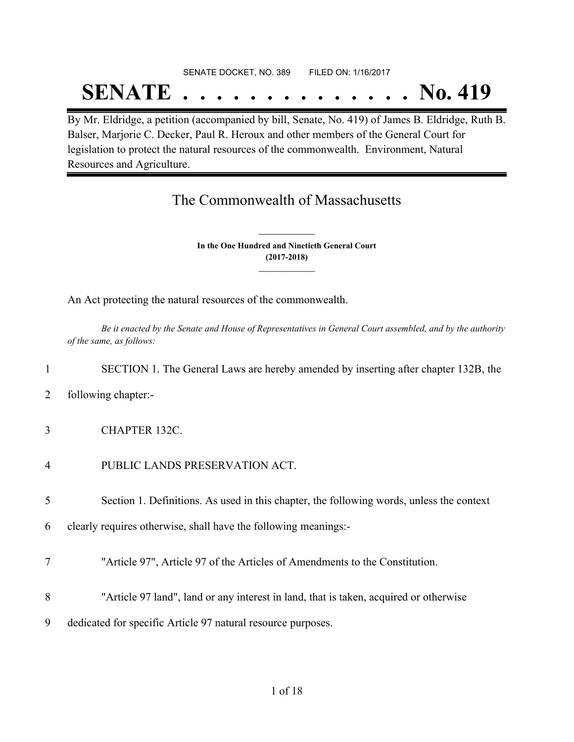## SENATE DOCKET, NO. 389 FILED ON: 1/16/2017 **SENATE . . . . . . . . . . . . . . No. 419**

By Mr. Eldridge, a petition (accompanied by bill, Senate, No. 419) of James B. Eldridge, Ruth B. Balser, Marjorie C. Decker, Paul R. Heroux and other members of the General Court for legislation to protect the natural resources of the commonwealth. Environment, Natural Resources and Agriculture.

## The Commonwealth of Massachusetts

**In the One Hundred and Ninetieth General Court (2017-2018) \_\_\_\_\_\_\_\_\_\_\_\_\_\_\_**

**\_\_\_\_\_\_\_\_\_\_\_\_\_\_\_**

An Act protecting the natural resources of the commonwealth.

Be it enacted by the Senate and House of Representatives in General Court assembled, and by the authority *of the same, as follows:*

#### 1 SECTION 1. The General Laws are hereby amended by inserting after chapter 132B, the

- 2 following chapter:-
- 3 CHAPTER 132C.
- 4 PUBLIC LANDS PRESERVATION ACT.

5 Section 1. Definitions. As used in this chapter, the following words, unless the context

6 clearly requires otherwise, shall have the following meanings:-

- 7 "Article 97", Article 97 of the Articles of Amendments to the Constitution.
- 8 "Article 97 land", land or any interest in land, that is taken, acquired or otherwise
- 9 dedicated for specific Article 97 natural resource purposes.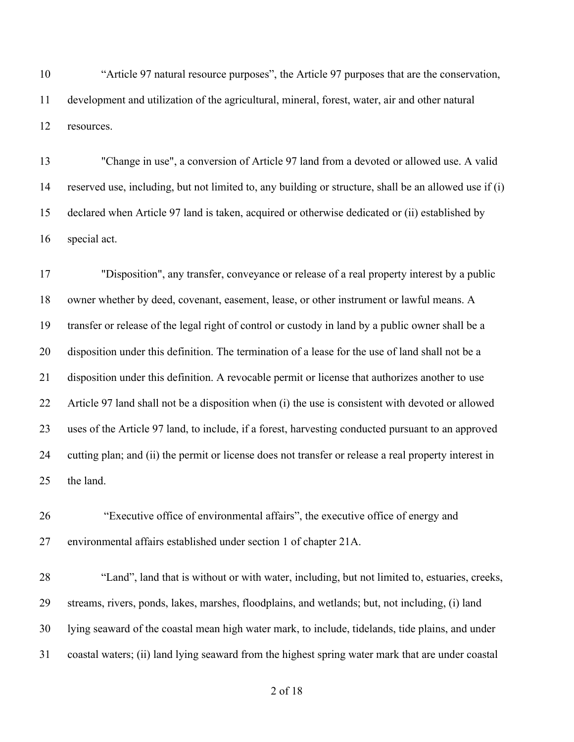"Article 97 natural resource purposes", the Article 97 purposes that are the conservation, development and utilization of the agricultural, mineral, forest, water, air and other natural resources.

 "Change in use", a conversion of Article 97 land from a devoted or allowed use. A valid reserved use, including, but not limited to, any building or structure, shall be an allowed use if (i) declared when Article 97 land is taken, acquired or otherwise dedicated or (ii) established by special act.

 "Disposition", any transfer, conveyance or release of a real property interest by a public owner whether by deed, covenant, easement, lease, or other instrument or lawful means. A transfer or release of the legal right of control or custody in land by a public owner shall be a disposition under this definition. The termination of a lease for the use of land shall not be a disposition under this definition. A revocable permit or license that authorizes another to use Article 97 land shall not be a disposition when (i) the use is consistent with devoted or allowed uses of the Article 97 land, to include, if a forest, harvesting conducted pursuant to an approved cutting plan; and (ii) the permit or license does not transfer or release a real property interest in the land.

 "Executive office of environmental affairs", the executive office of energy and environmental affairs established under section 1 of chapter 21A.

 "Land", land that is without or with water, including, but not limited to, estuaries, creeks, streams, rivers, ponds, lakes, marshes, floodplains, and wetlands; but, not including, (i) land lying seaward of the coastal mean high water mark, to include, tidelands, tide plains, and under coastal waters; (ii) land lying seaward from the highest spring water mark that are under coastal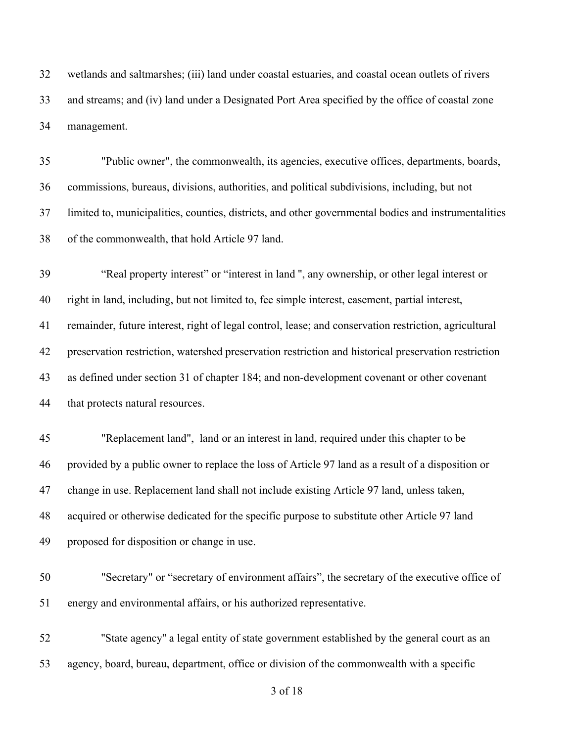wetlands and saltmarshes; (iii) land under coastal estuaries, and coastal ocean outlets of rivers and streams; and (iv) land under a Designated Port Area specified by the office of coastal zone management.

 "Public owner", the commonwealth, its agencies, executive offices, departments, boards, commissions, bureaus, divisions, authorities, and political subdivisions, including, but not limited to, municipalities, counties, districts, and other governmental bodies and instrumentalities of the commonwealth, that hold Article 97 land.

 "Real property interest" or "interest in land '', any ownership, or other legal interest or right in land, including, but not limited to, fee simple interest, easement, partial interest, remainder, future interest, right of legal control, lease; and conservation restriction, agricultural preservation restriction, watershed preservation restriction and historical preservation restriction as defined under section 31 of chapter 184; and non-development covenant or other covenant that protects natural resources.

 "Replacement land", land or an interest in land, required under this chapter to be provided by a public owner to replace the loss of Article 97 land as a result of a disposition or change in use. Replacement land shall not include existing Article 97 land, unless taken, acquired or otherwise dedicated for the specific purpose to substitute other Article 97 land proposed for disposition or change in use.

- "Secretary" or "secretary of environment affairs", the secretary of the executive office of energy and environmental affairs, or his authorized representative.
- ''State agency'' a legal entity of state government established by the general court as an agency, board, bureau, department, office or division of the commonwealth with a specific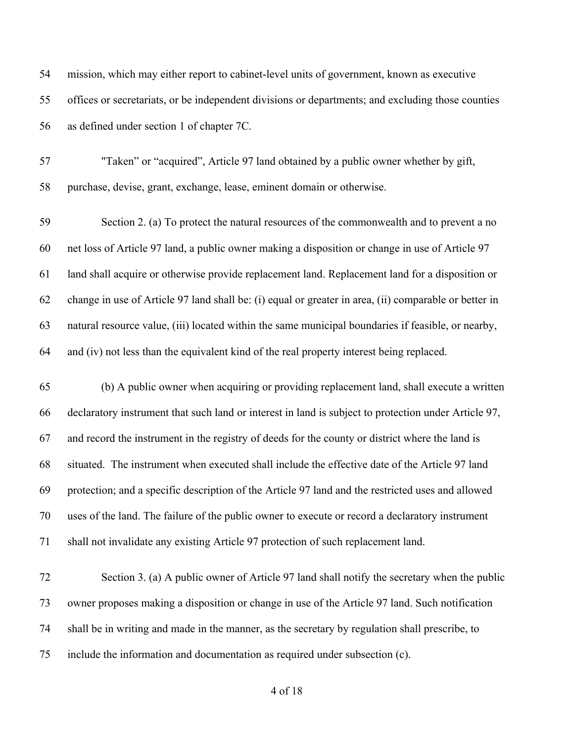| 54 | mission, which may either report to cabinet-level units of government, known as executive             |
|----|-------------------------------------------------------------------------------------------------------|
| 55 | offices or secretariats, or be independent divisions or departments; and excluding those counties     |
| 56 | as defined under section 1 of chapter 7C.                                                             |
| 57 | "Taken" or "acquired", Article 97 land obtained by a public owner whether by gift,                    |
| 58 | purchase, devise, grant, exchange, lease, eminent domain or otherwise.                                |
| 59 | Section 2. (a) To protect the natural resources of the commonwealth and to prevent a no               |
| 60 | net loss of Article 97 land, a public owner making a disposition or change in use of Article 97       |
| 61 | land shall acquire or otherwise provide replacement land. Replacement land for a disposition or       |
| 62 | change in use of Article 97 land shall be: (i) equal or greater in area, (ii) comparable or better in |
| 63 | natural resource value, (iii) located within the same municipal boundaries if feasible, or nearby,    |
| 64 | and (iv) not less than the equivalent kind of the real property interest being replaced.              |
| 65 | (b) A public owner when acquiring or providing replacement land, shall execute a written              |
| 66 | declaratory instrument that such land or interest in land is subject to protection under Article 97,  |
| 67 | and record the instrument in the registry of deeds for the county or district where the land is       |
| 68 | situated. The instrument when executed shall include the effective date of the Article 97 land        |
| 69 | protection; and a specific description of the Article 97 land and the restricted uses and allowed     |
| 70 | uses of the land. The failure of the public owner to execute or record a declaratory instrument       |
| 71 | shall not invalidate any existing Article 97 protection of such replacement land.                     |
| 72 | Section 3. (a) A public owner of Article 97 land shall notify the secretary when the public           |
| 73 | owner proposes making a disposition or change in use of the Article 97 land. Such notification        |
| 74 | shall be in writing and made in the manner, as the secretary by regulation shall prescribe, to        |

- 
- include the information and documentation as required under subsection (c).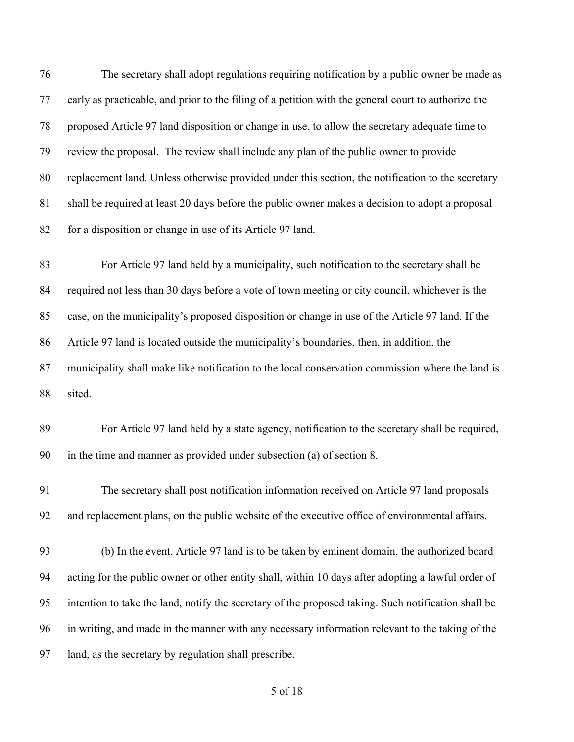The secretary shall adopt regulations requiring notification by a public owner be made as early as practicable, and prior to the filing of a petition with the general court to authorize the proposed Article 97 land disposition or change in use, to allow the secretary adequate time to review the proposal. The review shall include any plan of the public owner to provide replacement land. Unless otherwise provided under this section, the notification to the secretary shall be required at least 20 days before the public owner makes a decision to adopt a proposal for a disposition or change in use of its Article 97 land.

 For Article 97 land held by a municipality, such notification to the secretary shall be required not less than 30 days before a vote of town meeting or city council, whichever is the case, on the municipality's proposed disposition or change in use of the Article 97 land. If the Article 97 land is located outside the municipality's boundaries, then, in addition, the municipality shall make like notification to the local conservation commission where the land is sited.

 For Article 97 land held by a state agency, notification to the secretary shall be required, in the time and manner as provided under subsection (a) of section 8.

 The secretary shall post notification information received on Article 97 land proposals and replacement plans, on the public website of the executive office of environmental affairs.

 (b) In the event, Article 97 land is to be taken by eminent domain, the authorized board acting for the public owner or other entity shall, within 10 days after adopting a lawful order of intention to take the land, notify the secretary of the proposed taking. Such notification shall be in writing, and made in the manner with any necessary information relevant to the taking of the land, as the secretary by regulation shall prescribe.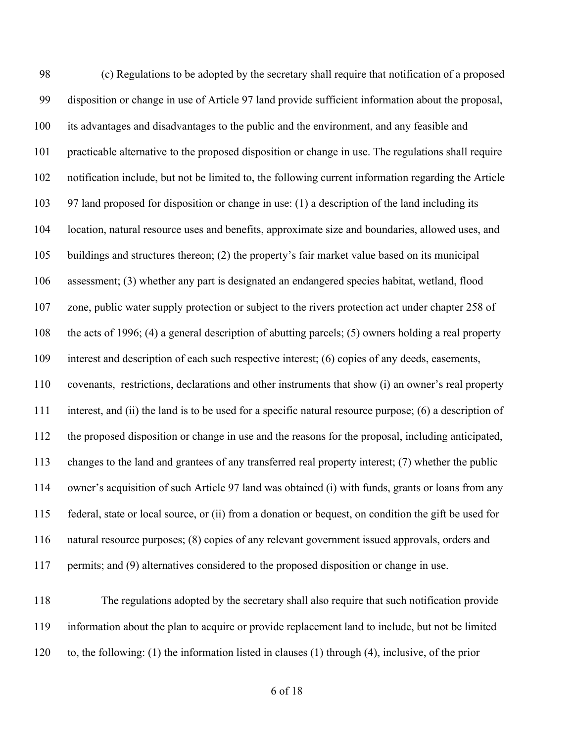(c) Regulations to be adopted by the secretary shall require that notification of a proposed disposition or change in use of Article 97 land provide sufficient information about the proposal, its advantages and disadvantages to the public and the environment, and any feasible and practicable alternative to the proposed disposition or change in use. The regulations shall require notification include, but not be limited to, the following current information regarding the Article 97 land proposed for disposition or change in use: (1) a description of the land including its location, natural resource uses and benefits, approximate size and boundaries, allowed uses, and buildings and structures thereon; (2) the property's fair market value based on its municipal assessment; (3) whether any part is designated an endangered species habitat, wetland, flood zone, public water supply protection or subject to the rivers protection act under chapter 258 of the acts of 1996; (4) a general description of abutting parcels; (5) owners holding a real property interest and description of each such respective interest; (6) copies of any deeds, easements, covenants, restrictions, declarations and other instruments that show (i) an owner's real property interest, and (ii) the land is to be used for a specific natural resource purpose; (6) a description of the proposed disposition or change in use and the reasons for the proposal, including anticipated, changes to the land and grantees of any transferred real property interest; (7) whether the public owner's acquisition of such Article 97 land was obtained (i) with funds, grants or loans from any federal, state or local source, or (ii) from a donation or bequest, on condition the gift be used for natural resource purposes; (8) copies of any relevant government issued approvals, orders and permits; and (9) alternatives considered to the proposed disposition or change in use.

 The regulations adopted by the secretary shall also require that such notification provide information about the plan to acquire or provide replacement land to include, but not be limited to, the following: (1) the information listed in clauses (1) through (4), inclusive, of the prior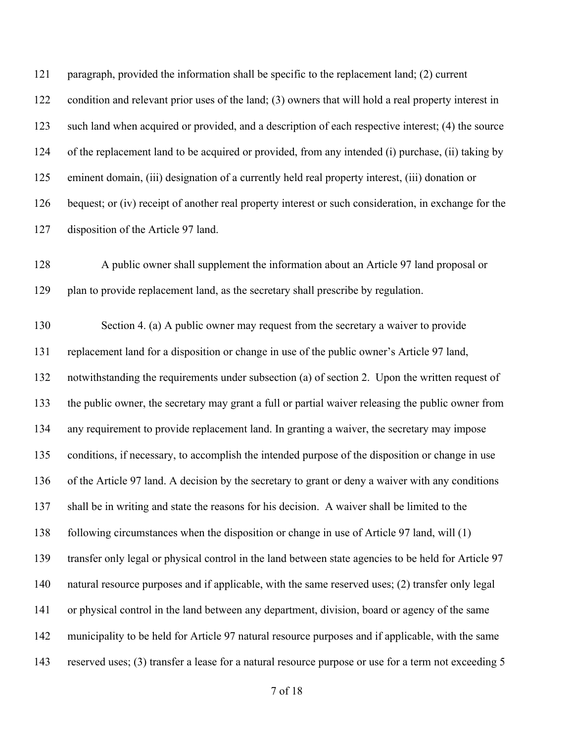paragraph, provided the information shall be specific to the replacement land; (2) current condition and relevant prior uses of the land; (3) owners that will hold a real property interest in such land when acquired or provided, and a description of each respective interest; (4) the source of the replacement land to be acquired or provided, from any intended (i) purchase, (ii) taking by eminent domain, (iii) designation of a currently held real property interest, (iii) donation or 126 bequest; or (iv) receipt of another real property interest or such consideration, in exchange for the disposition of the Article 97 land.

 A public owner shall supplement the information about an Article 97 land proposal or plan to provide replacement land, as the secretary shall prescribe by regulation.

 Section 4. (a) A public owner may request from the secretary a waiver to provide replacement land for a disposition or change in use of the public owner's Article 97 land, notwithstanding the requirements under subsection (a) of section 2. Upon the written request of the public owner, the secretary may grant a full or partial waiver releasing the public owner from any requirement to provide replacement land. In granting a waiver, the secretary may impose conditions, if necessary, to accomplish the intended purpose of the disposition or change in use of the Article 97 land. A decision by the secretary to grant or deny a waiver with any conditions shall be in writing and state the reasons for his decision. A waiver shall be limited to the following circumstances when the disposition or change in use of Article 97 land, will (1) transfer only legal or physical control in the land between state agencies to be held for Article 97 natural resource purposes and if applicable, with the same reserved uses; (2) transfer only legal or physical control in the land between any department, division, board or agency of the same municipality to be held for Article 97 natural resource purposes and if applicable, with the same reserved uses; (3) transfer a lease for a natural resource purpose or use for a term not exceeding 5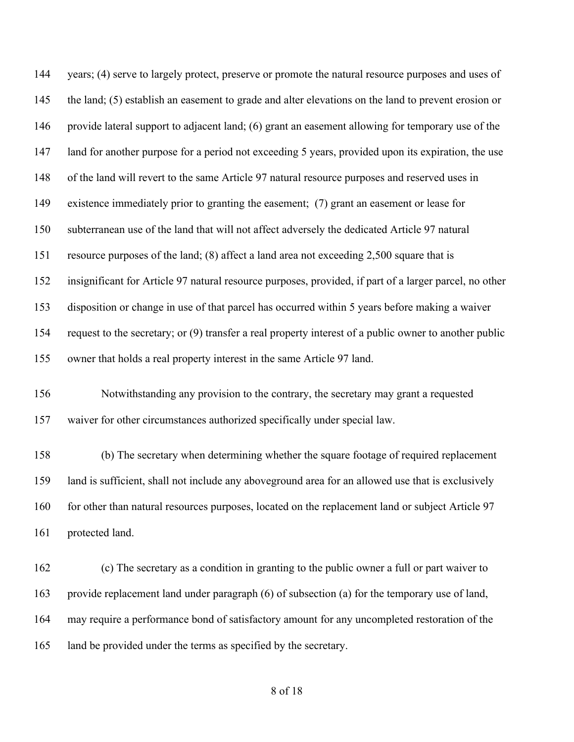years; (4) serve to largely protect, preserve or promote the natural resource purposes and uses of the land; (5) establish an easement to grade and alter elevations on the land to prevent erosion or provide lateral support to adjacent land; (6) grant an easement allowing for temporary use of the land for another purpose for a period not exceeding 5 years, provided upon its expiration, the use of the land will revert to the same Article 97 natural resource purposes and reserved uses in existence immediately prior to granting the easement; (7) grant an easement or lease for subterranean use of the land that will not affect adversely the dedicated Article 97 natural resource purposes of the land; (8) affect a land area not exceeding 2,500 square that is insignificant for Article 97 natural resource purposes, provided, if part of a larger parcel, no other disposition or change in use of that parcel has occurred within 5 years before making a waiver request to the secretary; or (9) transfer a real property interest of a public owner to another public owner that holds a real property interest in the same Article 97 land. Notwithstanding any provision to the contrary, the secretary may grant a requested

waiver for other circumstances authorized specifically under special law.

 (b) The secretary when determining whether the square footage of required replacement land is sufficient, shall not include any aboveground area for an allowed use that is exclusively 160 for other than natural resources purposes, located on the replacement land or subject Article 97 protected land.

 (c) The secretary as a condition in granting to the public owner a full or part waiver to provide replacement land under paragraph (6) of subsection (a) for the temporary use of land, may require a performance bond of satisfactory amount for any uncompleted restoration of the land be provided under the terms as specified by the secretary.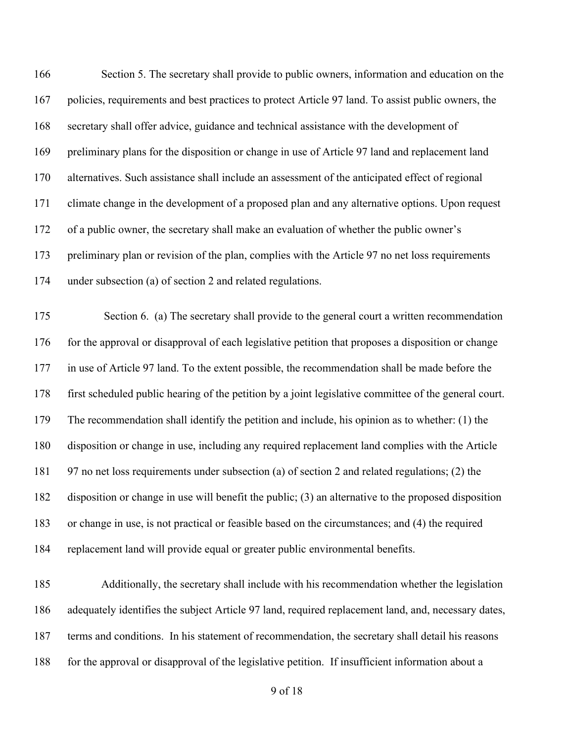| 166 | Section 5. The secretary shall provide to public owners, information and education on the             |
|-----|-------------------------------------------------------------------------------------------------------|
| 167 | policies, requirements and best practices to protect Article 97 land. To assist public owners, the    |
| 168 | secretary shall offer advice, guidance and technical assistance with the development of               |
| 169 | preliminary plans for the disposition or change in use of Article 97 land and replacement land        |
| 170 | alternatives. Such assistance shall include an assessment of the anticipated effect of regional       |
| 171 | climate change in the development of a proposed plan and any alternative options. Upon request        |
| 172 | of a public owner, the secretary shall make an evaluation of whether the public owner's               |
| 173 | preliminary plan or revision of the plan, complies with the Article 97 no net loss requirements       |
| 174 | under subsection (a) of section 2 and related regulations.                                            |
| 175 | Section 6. (a) The secretary shall provide to the general court a written recommendation              |
| 176 | for the approval or disapproval of each legislative petition that proposes a disposition or change    |
| 177 | in use of Article 97 land. To the extent possible, the recommendation shall be made before the        |
| 178 | first scheduled public hearing of the petition by a joint legislative committee of the general court. |
| 179 | The recommendation shall identify the petition and include, his opinion as to whether: (1) the        |
| 180 | disposition or change in use, including any required replacement land complies with the Article       |
| 181 | 97 no net loss requirements under subsection (a) of section 2 and related regulations; (2) the        |
| 182 | disposition or change in use will benefit the public; (3) an alternative to the proposed disposition  |
| 183 | or change in use, is not practical or feasible based on the circumstances; and (4) the required       |
| 184 | replacement land will provide equal or greater public environmental benefits.                         |
| 185 | Additionally, the secretary shall include with his recommendation whether the legislation             |

terms and conditions. In his statement of recommendation, the secretary shall detail his reasons

adequately identifies the subject Article 97 land, required replacement land, and, necessary dates,

for the approval or disapproval of the legislative petition. If insufficient information about a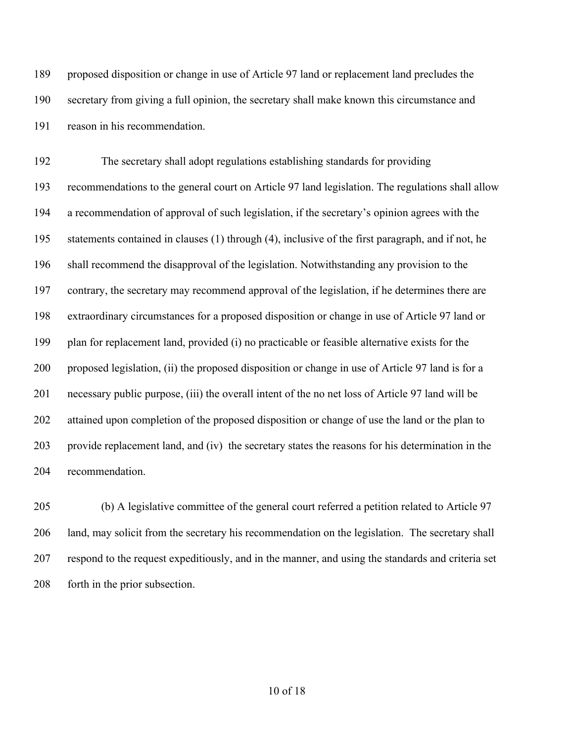proposed disposition or change in use of Article 97 land or replacement land precludes the secretary from giving a full opinion, the secretary shall make known this circumstance and reason in his recommendation.

 The secretary shall adopt regulations establishing standards for providing recommendations to the general court on Article 97 land legislation. The regulations shall allow a recommendation of approval of such legislation, if the secretary's opinion agrees with the statements contained in clauses (1) through (4), inclusive of the first paragraph, and if not, he shall recommend the disapproval of the legislation. Notwithstanding any provision to the contrary, the secretary may recommend approval of the legislation, if he determines there are extraordinary circumstances for a proposed disposition or change in use of Article 97 land or plan for replacement land, provided (i) no practicable or feasible alternative exists for the proposed legislation, (ii) the proposed disposition or change in use of Article 97 land is for a necessary public purpose, (iii) the overall intent of the no net loss of Article 97 land will be attained upon completion of the proposed disposition or change of use the land or the plan to provide replacement land, and (iv) the secretary states the reasons for his determination in the recommendation.

 (b) A legislative committee of the general court referred a petition related to Article 97 land, may solicit from the secretary his recommendation on the legislation. The secretary shall respond to the request expeditiously, and in the manner, and using the standards and criteria set forth in the prior subsection.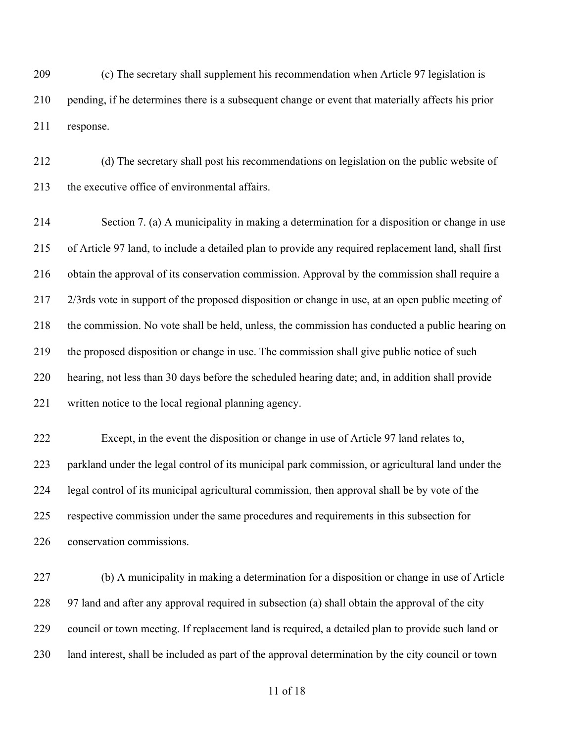(c) The secretary shall supplement his recommendation when Article 97 legislation is pending, if he determines there is a subsequent change or event that materially affects his prior response.

 (d) The secretary shall post his recommendations on legislation on the public website of the executive office of environmental affairs.

 Section 7. (a) A municipality in making a determination for a disposition or change in use of Article 97 land, to include a detailed plan to provide any required replacement land, shall first obtain the approval of its conservation commission. Approval by the commission shall require a 2/3rds vote in support of the proposed disposition or change in use, at an open public meeting of the commission. No vote shall be held, unless, the commission has conducted a public hearing on the proposed disposition or change in use. The commission shall give public notice of such hearing, not less than 30 days before the scheduled hearing date; and, in addition shall provide written notice to the local regional planning agency.

 Except, in the event the disposition or change in use of Article 97 land relates to, parkland under the legal control of its municipal park commission, or agricultural land under the legal control of its municipal agricultural commission, then approval shall be by vote of the respective commission under the same procedures and requirements in this subsection for conservation commissions.

 (b) A municipality in making a determination for a disposition or change in use of Article 228 97 land and after any approval required in subsection (a) shall obtain the approval of the city council or town meeting. If replacement land is required, a detailed plan to provide such land or land interest, shall be included as part of the approval determination by the city council or town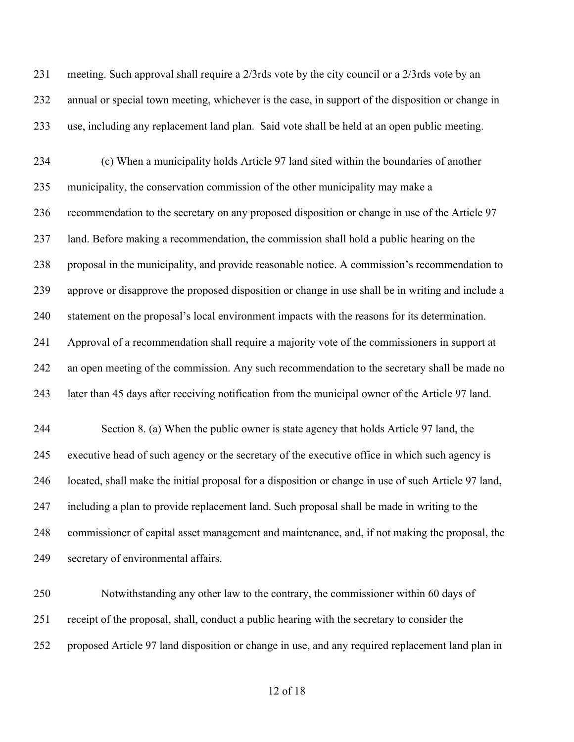meeting. Such approval shall require a 2/3rds vote by the city council or a 2/3rds vote by an annual or special town meeting, whichever is the case, in support of the disposition or change in use, including any replacement land plan. Said vote shall be held at an open public meeting.

 (c) When a municipality holds Article 97 land sited within the boundaries of another municipality, the conservation commission of the other municipality may make a recommendation to the secretary on any proposed disposition or change in use of the Article 97 land. Before making a recommendation, the commission shall hold a public hearing on the proposal in the municipality, and provide reasonable notice. A commission's recommendation to approve or disapprove the proposed disposition or change in use shall be in writing and include a statement on the proposal's local environment impacts with the reasons for its determination. Approval of a recommendation shall require a majority vote of the commissioners in support at an open meeting of the commission. Any such recommendation to the secretary shall be made no later than 45 days after receiving notification from the municipal owner of the Article 97 land.

 Section 8. (a) When the public owner is state agency that holds Article 97 land, the executive head of such agency or the secretary of the executive office in which such agency is located, shall make the initial proposal for a disposition or change in use of such Article 97 land, including a plan to provide replacement land. Such proposal shall be made in writing to the commissioner of capital asset management and maintenance, and, if not making the proposal, the secretary of environmental affairs.

 Notwithstanding any other law to the contrary, the commissioner within 60 days of receipt of the proposal, shall, conduct a public hearing with the secretary to consider the proposed Article 97 land disposition or change in use, and any required replacement land plan in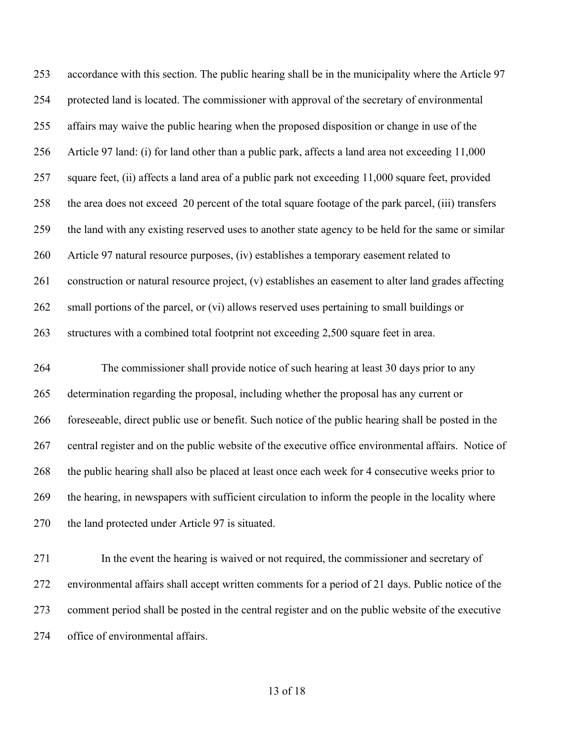accordance with this section. The public hearing shall be in the municipality where the Article 97 protected land is located. The commissioner with approval of the secretary of environmental affairs may waive the public hearing when the proposed disposition or change in use of the Article 97 land: (i) for land other than a public park, affects a land area not exceeding 11,000 square feet, (ii) affects a land area of a public park not exceeding 11,000 square feet, provided the area does not exceed 20 percent of the total square footage of the park parcel, (iii) transfers the land with any existing reserved uses to another state agency to be held for the same or similar Article 97 natural resource purposes, (iv) establishes a temporary easement related to construction or natural resource project, (v) establishes an easement to alter land grades affecting small portions of the parcel, or (vi) allows reserved uses pertaining to small buildings or structures with a combined total footprint not exceeding 2,500 square feet in area.

 The commissioner shall provide notice of such hearing at least 30 days prior to any determination regarding the proposal, including whether the proposal has any current or foreseeable, direct public use or benefit. Such notice of the public hearing shall be posted in the central register and on the public website of the executive office environmental affairs. Notice of the public hearing shall also be placed at least once each week for 4 consecutive weeks prior to the hearing, in newspapers with sufficient circulation to inform the people in the locality where the land protected under Article 97 is situated.

 In the event the hearing is waived or not required, the commissioner and secretary of environmental affairs shall accept written comments for a period of 21 days. Public notice of the comment period shall be posted in the central register and on the public website of the executive office of environmental affairs.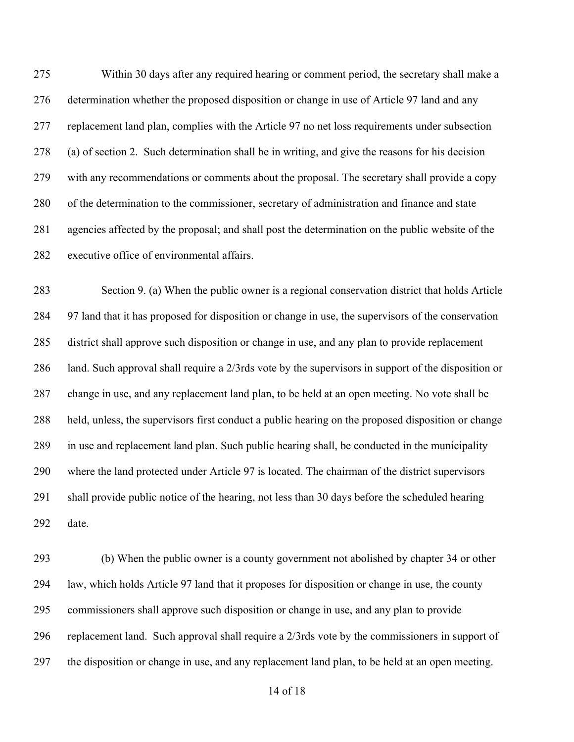Within 30 days after any required hearing or comment period, the secretary shall make a determination whether the proposed disposition or change in use of Article 97 land and any replacement land plan, complies with the Article 97 no net loss requirements under subsection (a) of section 2. Such determination shall be in writing, and give the reasons for his decision with any recommendations or comments about the proposal. The secretary shall provide a copy of the determination to the commissioner, secretary of administration and finance and state agencies affected by the proposal; and shall post the determination on the public website of the executive office of environmental affairs.

 Section 9. (a) When the public owner is a regional conservation district that holds Article 97 land that it has proposed for disposition or change in use, the supervisors of the conservation district shall approve such disposition or change in use, and any plan to provide replacement land. Such approval shall require a 2/3rds vote by the supervisors in support of the disposition or change in use, and any replacement land plan, to be held at an open meeting. No vote shall be held, unless, the supervisors first conduct a public hearing on the proposed disposition or change in use and replacement land plan. Such public hearing shall, be conducted in the municipality where the land protected under Article 97 is located. The chairman of the district supervisors shall provide public notice of the hearing, not less than 30 days before the scheduled hearing date.

 (b) When the public owner is a county government not abolished by chapter 34 or other law, which holds Article 97 land that it proposes for disposition or change in use, the county commissioners shall approve such disposition or change in use, and any plan to provide replacement land. Such approval shall require a 2/3rds vote by the commissioners in support of the disposition or change in use, and any replacement land plan, to be held at an open meeting.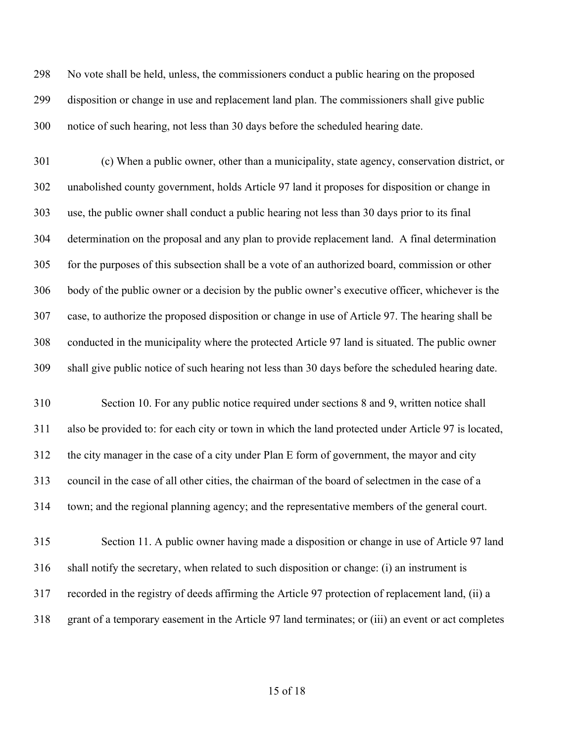No vote shall be held, unless, the commissioners conduct a public hearing on the proposed disposition or change in use and replacement land plan. The commissioners shall give public notice of such hearing, not less than 30 days before the scheduled hearing date.

 (c) When a public owner, other than a municipality, state agency, conservation district, or unabolished county government, holds Article 97 land it proposes for disposition or change in use, the public owner shall conduct a public hearing not less than 30 days prior to its final determination on the proposal and any plan to provide replacement land. A final determination for the purposes of this subsection shall be a vote of an authorized board, commission or other body of the public owner or a decision by the public owner's executive officer, whichever is the case, to authorize the proposed disposition or change in use of Article 97. The hearing shall be conducted in the municipality where the protected Article 97 land is situated. The public owner shall give public notice of such hearing not less than 30 days before the scheduled hearing date.

 Section 10. For any public notice required under sections 8 and 9, written notice shall also be provided to: for each city or town in which the land protected under Article 97 is located, the city manager in the case of a city under Plan E form of government, the mayor and city council in the case of all other cities, the chairman of the board of selectmen in the case of a town; and the regional planning agency; and the representative members of the general court.

 Section 11. A public owner having made a disposition or change in use of Article 97 land shall notify the secretary, when related to such disposition or change: (i) an instrument is recorded in the registry of deeds affirming the Article 97 protection of replacement land, (ii) a grant of a temporary easement in the Article 97 land terminates; or (iii) an event or act completes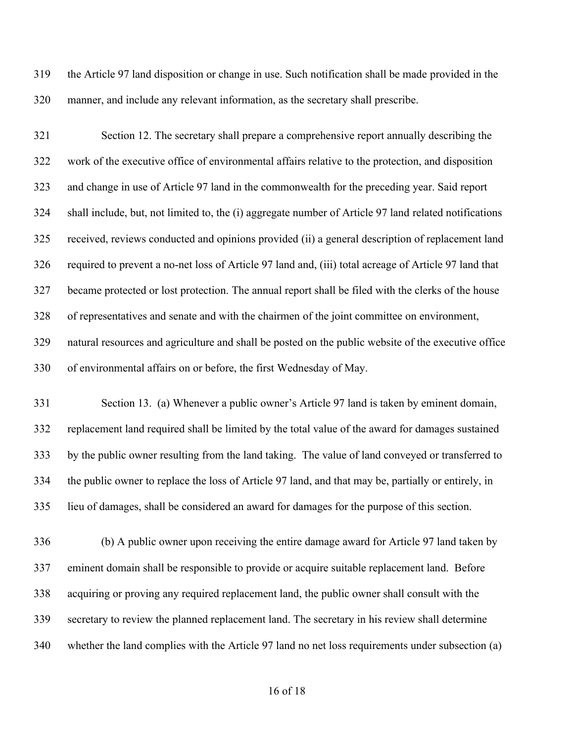the Article 97 land disposition or change in use. Such notification shall be made provided in the manner, and include any relevant information, as the secretary shall prescribe.

 Section 12. The secretary shall prepare a comprehensive report annually describing the work of the executive office of environmental affairs relative to the protection, and disposition and change in use of Article 97 land in the commonwealth for the preceding year. Said report shall include, but, not limited to, the (i) aggregate number of Article 97 land related notifications received, reviews conducted and opinions provided (ii) a general description of replacement land required to prevent a no-net loss of Article 97 land and, (iii) total acreage of Article 97 land that became protected or lost protection. The annual report shall be filed with the clerks of the house of representatives and senate and with the chairmen of the joint committee on environment, natural resources and agriculture and shall be posted on the public website of the executive office of environmental affairs on or before, the first Wednesday of May.

 Section 13. (a) Whenever a public owner's Article 97 land is taken by eminent domain, replacement land required shall be limited by the total value of the award for damages sustained by the public owner resulting from the land taking. The value of land conveyed or transferred to the public owner to replace the loss of Article 97 land, and that may be, partially or entirely, in lieu of damages, shall be considered an award for damages for the purpose of this section.

 (b) A public owner upon receiving the entire damage award for Article 97 land taken by eminent domain shall be responsible to provide or acquire suitable replacement land. Before acquiring or proving any required replacement land, the public owner shall consult with the secretary to review the planned replacement land. The secretary in his review shall determine whether the land complies with the Article 97 land no net loss requirements under subsection (a)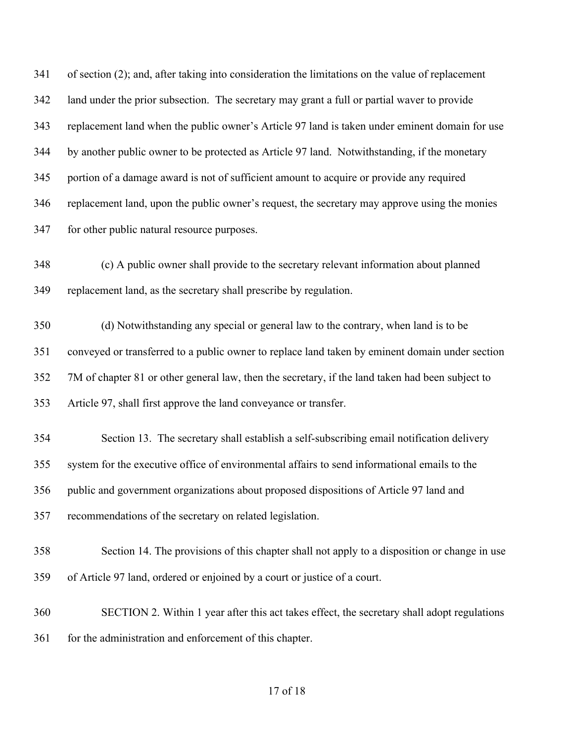of section (2); and, after taking into consideration the limitations on the value of replacement land under the prior subsection. The secretary may grant a full or partial waver to provide replacement land when the public owner's Article 97 land is taken under eminent domain for use by another public owner to be protected as Article 97 land. Notwithstanding, if the monetary portion of a damage award is not of sufficient amount to acquire or provide any required replacement land, upon the public owner's request, the secretary may approve using the monies for other public natural resource purposes.

 (c) A public owner shall provide to the secretary relevant information about planned replacement land, as the secretary shall prescribe by regulation.

 (d) Notwithstanding any special or general law to the contrary, when land is to be conveyed or transferred to a public owner to replace land taken by eminent domain under section 7M of chapter 81 or other general law, then the secretary, if the land taken had been subject to Article 97, shall first approve the land conveyance or transfer.

 Section 13. The secretary shall establish a self-subscribing email notification delivery system for the executive office of environmental affairs to send informational emails to the public and government organizations about proposed dispositions of Article 97 land and recommendations of the secretary on related legislation.

 Section 14. The provisions of this chapter shall not apply to a disposition or change in use of Article 97 land, ordered or enjoined by a court or justice of a court.

 SECTION 2. Within 1 year after this act takes effect, the secretary shall adopt regulations 361 for the administration and enforcement of this chapter.